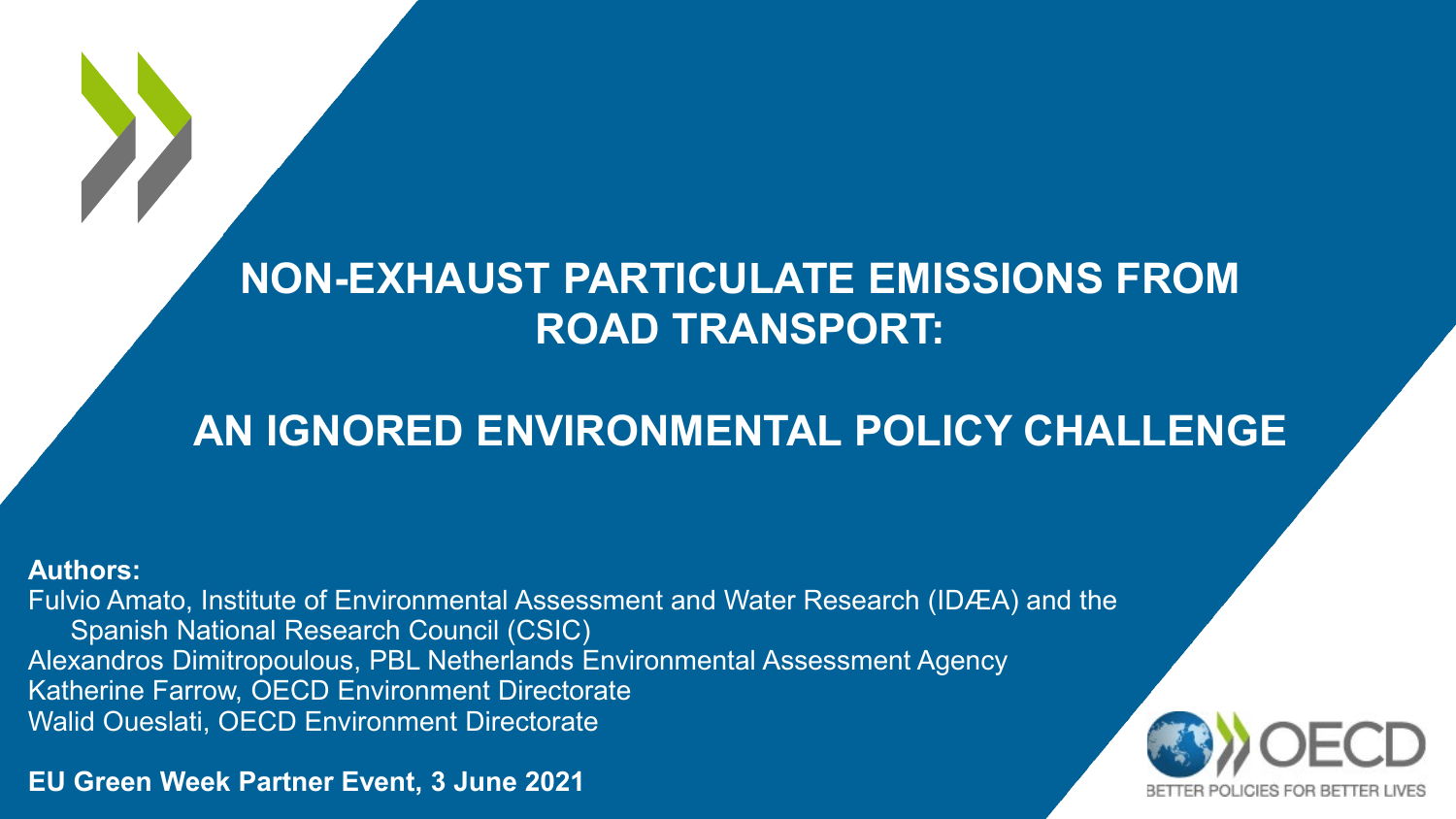### **NON-EXHAUST PARTICULATE EMISSIONS FROM ROAD TRANSPORT:**

## **AN IGNORED ENVIRONMENTAL POLICY CHALLENGE**

#### **Authors:**

Fulvio Amato, Institute of Environmental Assessment and Water Research (IDÆA) and the Spanish National Research Council (CSIC) Alexandros Dimitropoulous, PBL Netherlands Environmental Assessment Agency Katherine Farrow, OECD Environment Directorate Walid Oueslati, OECD Environment Directorate

**EU Green Week Partner Event, 3 June 2021**

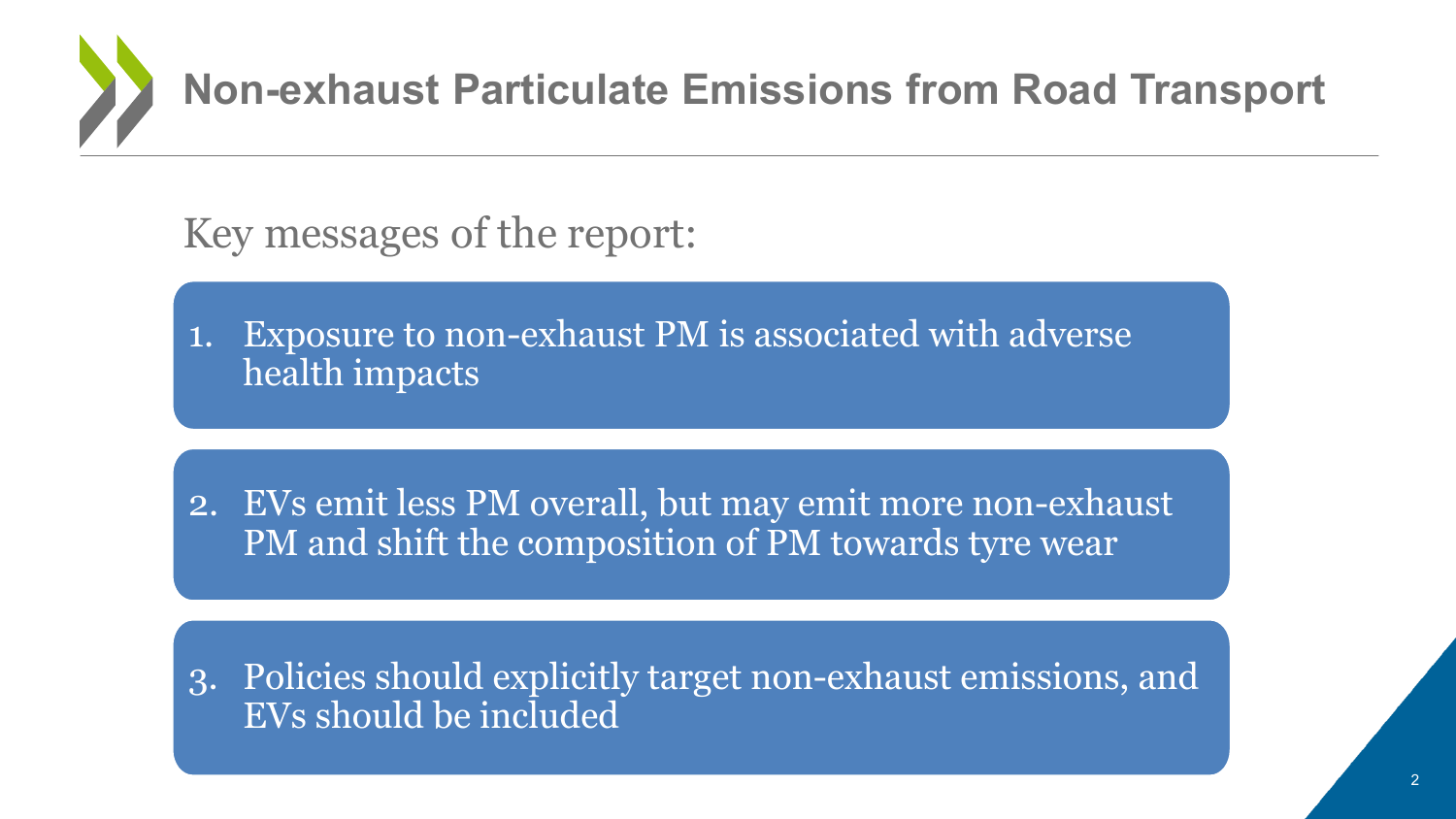

Key messages of the report:

1. Exposure to non-exhaust PM is associated with adverse health impacts

2. EVs emit less PM overall, but may emit more non-exhaust PM and shift the composition of PM towards tyre wear

3. Policies should explicitly target non-exhaust emissions, and EVs should be included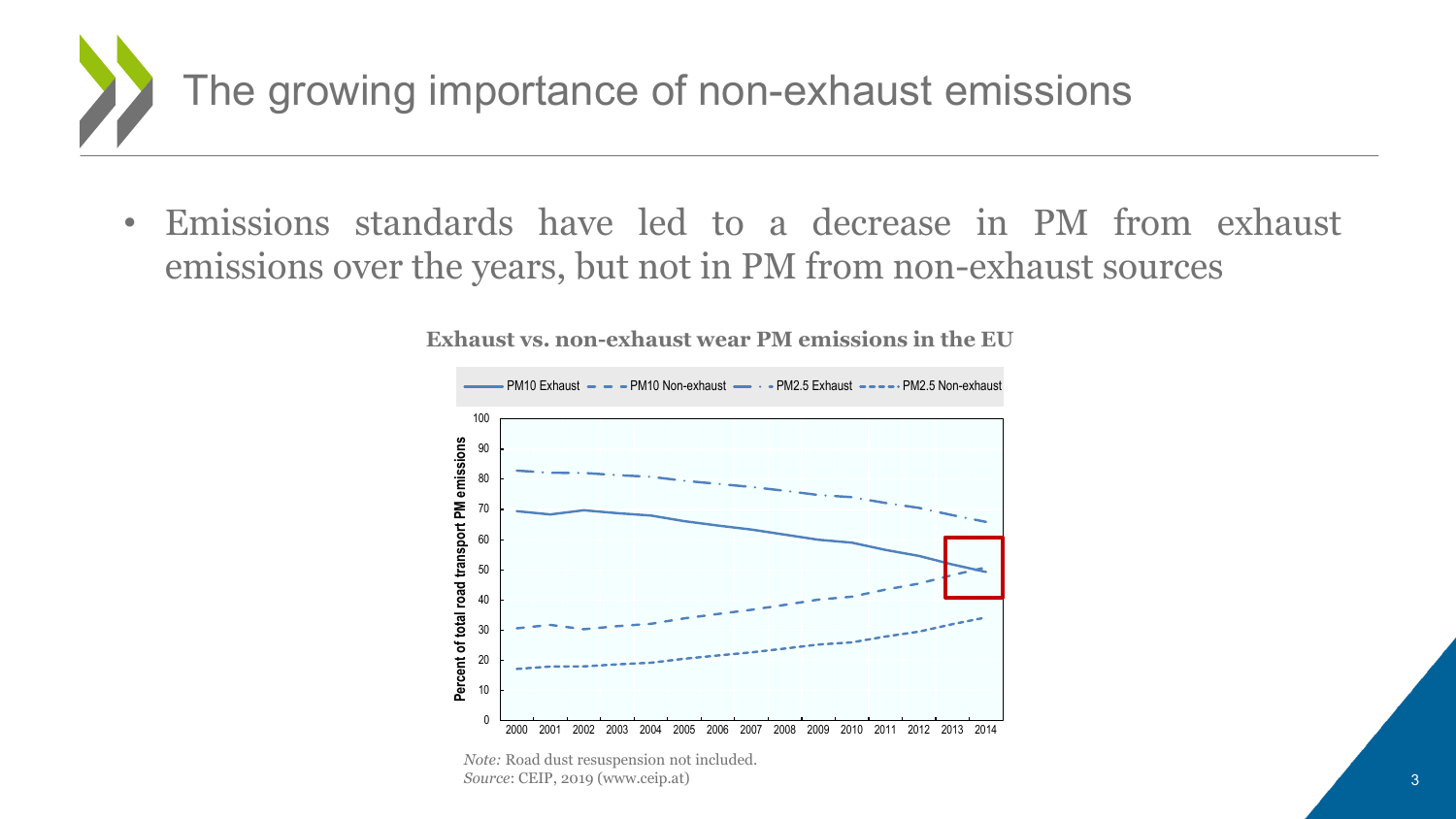

• Emissions standards have led to a decrease in PM from exhaust emissions over the years, but not in PM from non-exhaust sources



**Exhaust vs. non-exhaust wear PM emissions in the EU** 

*Source*: CEIP, 2019 (www.ceip.at) *Note:* Road dust resuspension not included.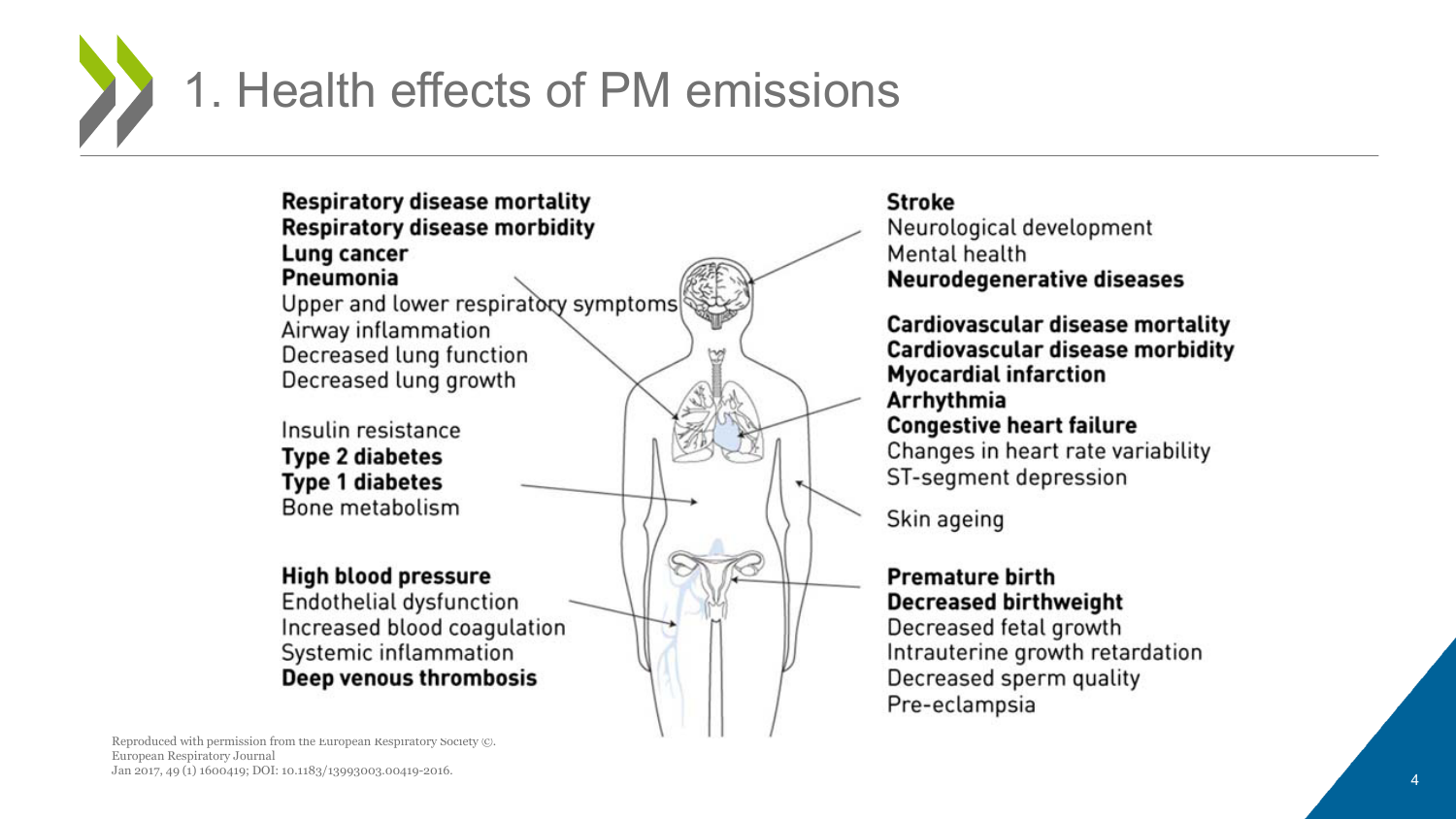

#### **Respiratory disease mortality Respiratory disease morbidity** Lung cancer Pneumonia

Upper and lower respiratory symptoms Airway inflammation Decreased lung function Decreased lung growth

Insulin resistance **Type 2 diabetes Type 1 diabetes** Bone metabolism

#### **High blood pressure**

Endothelial dysfunction Increased blood coagulation Systemic inflammation Deep venous thrombosis

#### **Stroke**

Neurological development Mental health **Neurodegenerative diseases** 

**Cardiovascular disease mortality Cardiovascular disease morbidity Myocardial infarction** Arrhythmia **Congestive heart failure** Changes in heart rate variability ST-segment depression

Skin ageing

#### **Premature birth Decreased birthweight**

Decreased fetal growth Intrauterine growth retardation Decreased sperm quality Pre-eclampsia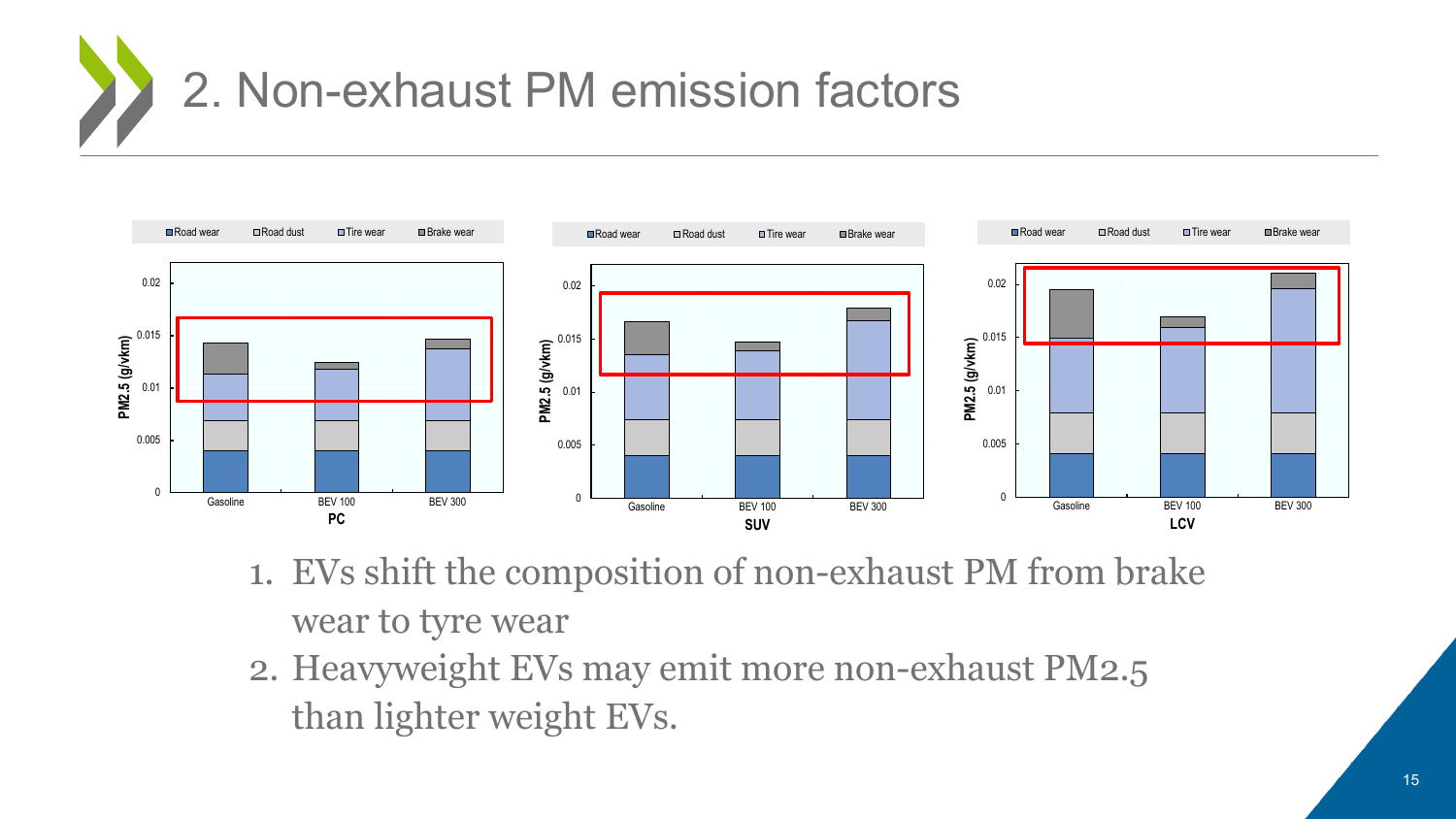



- 1. EVs shift the composition of non-exhaust PM from brake wear to tyre wear
- 2. Heavyweight EVs may emit more non-exhaust PM2.5 than lighter weight EVs.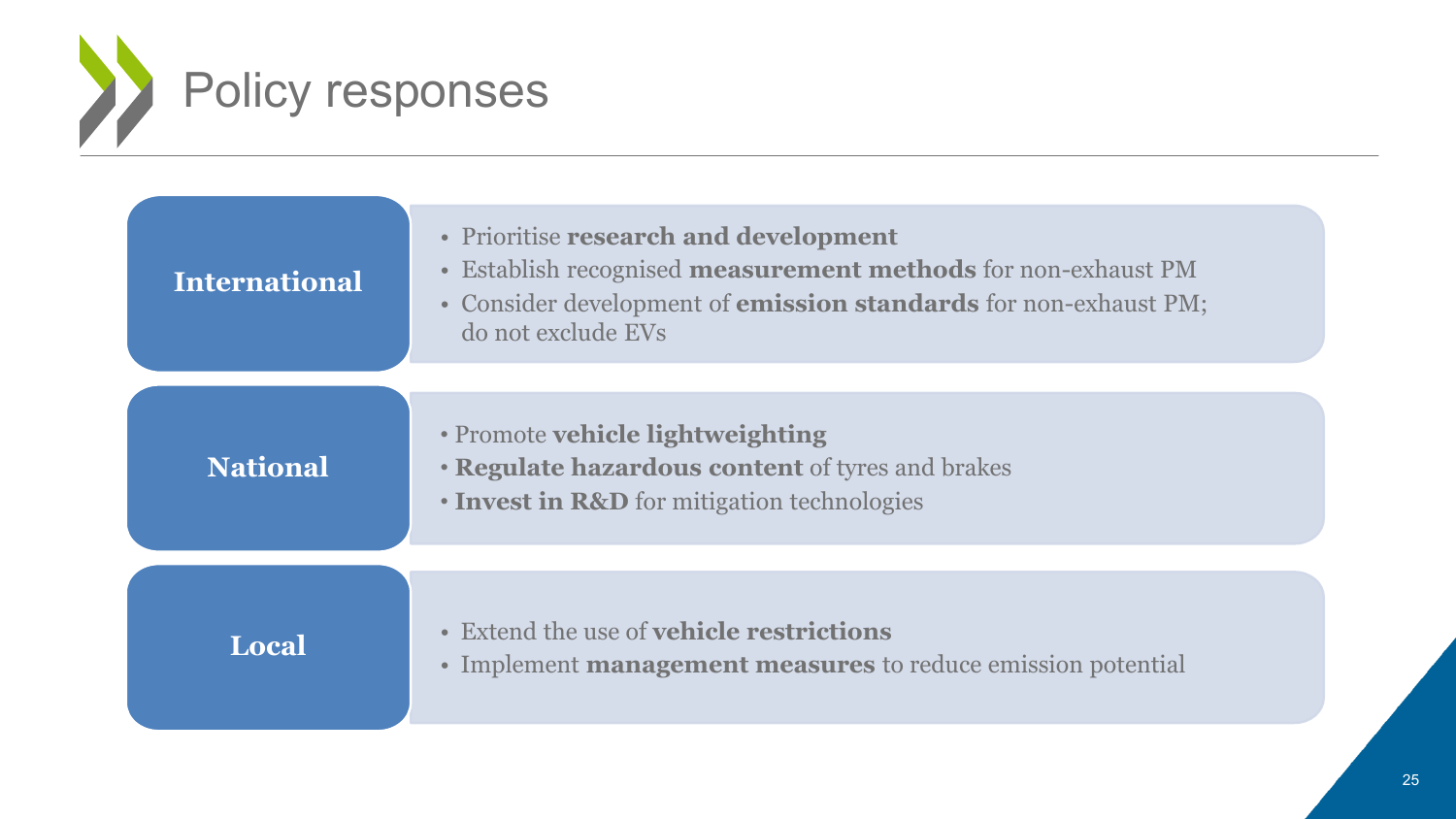

| <b>International</b> | <b>Prioritise research and development</b><br>$\bullet$<br>Establish recognised <b>measurement methods</b> for non-exhaust PM<br>$\bullet$<br>• Consider development of <b>emission standards</b> for non-exhaust PM;<br>do not exclude EVs |
|----------------------|---------------------------------------------------------------------------------------------------------------------------------------------------------------------------------------------------------------------------------------------|
| <b>National</b>      | • Promote vehicle lightweighting<br><b>· Regulate hazardous content of tyres and brakes</b><br>• Invest in R&D for mitigation technologies                                                                                                  |
| Local                | • Extend the use of <b>vehicle restrictions</b><br>• Implement <b>management measures</b> to reduce emission potential                                                                                                                      |